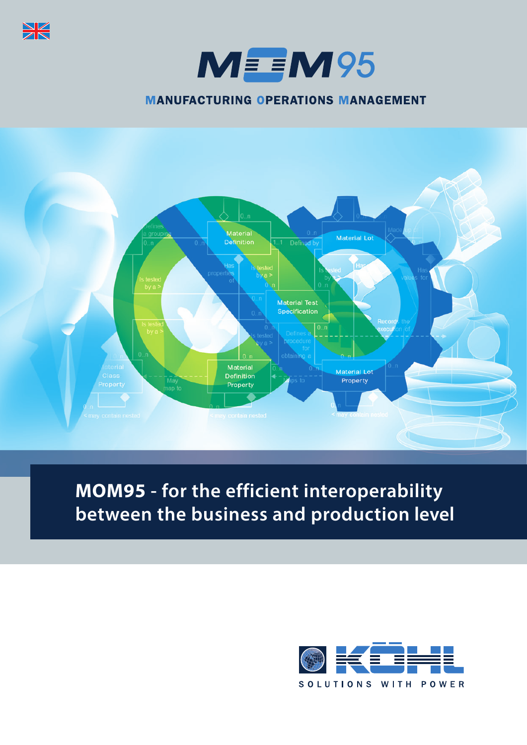

 $M = M95$ 

**MANUFACTURING OPERATIONS MANAGEMENT** 



**MOM95 - for the efficient interoperability between the business and production level**

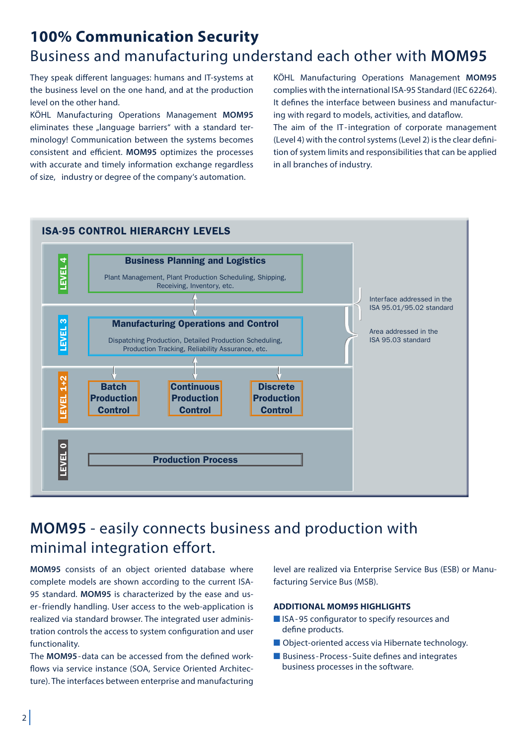# **100% Communication Security** Business and manufacturing understand each other with **MOM95**

They speak different languages: humans and IT-systems at the business level on the one hand, and at the production level on the other hand.

KÖHL Manufacturing Operations Management **MOM95** eliminates these "language barriers" with a standard terminology! Communication between the systems becomes consistent and efficient. **MOM95** optimizes the processes with accurate and timely information exchange regardless of size, industry or degree of the company's automation.

KÖHL Manufacturing Operations Management **MOM95**  complies with the international ISA-95 Standard (IEC 62264). It defines the interface between business and manufacturing with regard to models, activities, and dataflow.

The aim of the IT-integration of corporate management (Level 4) with the control systems (Level 2) is the clear definition of system limits and responsibilities that can be applied in all branches of industry.



## **MOM95** - easily connects business and production with minimal integration effort.

**MOM95** consists of an object oriented database where complete models are shown according to the current ISA-95 standard. **MOM95** is characterized by the ease and user - friendly handling. User access to the web-application is realized via standard browser. The integrated user administration controls the access to system configuration and user functionality.

The **MOM95**- data can be accessed from the defined workflows via service instance (SOA, Service Oriented Architecture). The interfaces between enterprise and manufacturing level are realized via Enterprise Service Bus (ESB) or Manufacturing Service Bus (MSB).

#### **ADDITIONAL MOM95 HIGHLIGHTS**

- ISA-95 configurator to specify resources and define products.
- Object-oriented access via Hibernate technology.
- Business-Process-Suite defines and integrates business processes in the software.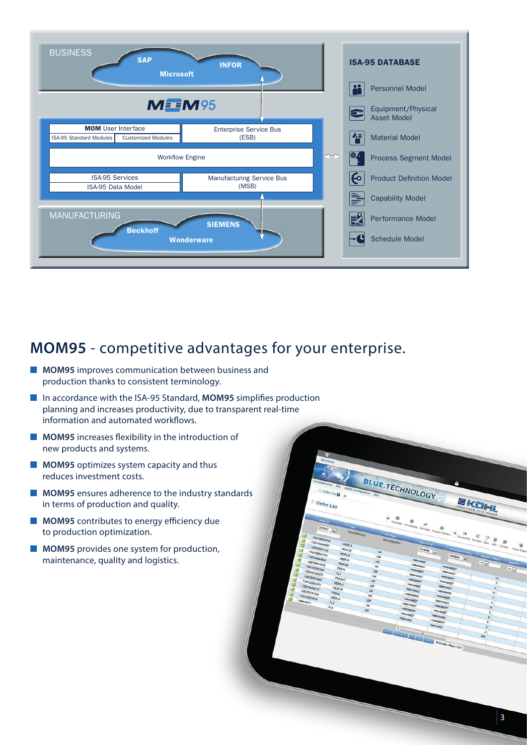

### **MOM95** - competitive advantages for your enterprise.

- **MOM95** improves communication between business and production thanks to consistent terminology.
- In accordance with the ISA-95 Standard, MOM95 simplifies production planning and increases productivity, due to transparent real-time information and automated workflows.
- **MOM95** increases flexibility in the introduction of new products and systems.
- **MOM95** optimizes system capacity and thus reduces investment costs.
- **MOM95** ensures adherence to the industry standards in terms of production and quality.
- **MOM95** contributes to energy efficiency due to production optimization.
- **MOM95** provides one system for production, maintenance, quality and logistics.

OKEN 1

BLUE.TECHNOLOGY

Order Lis